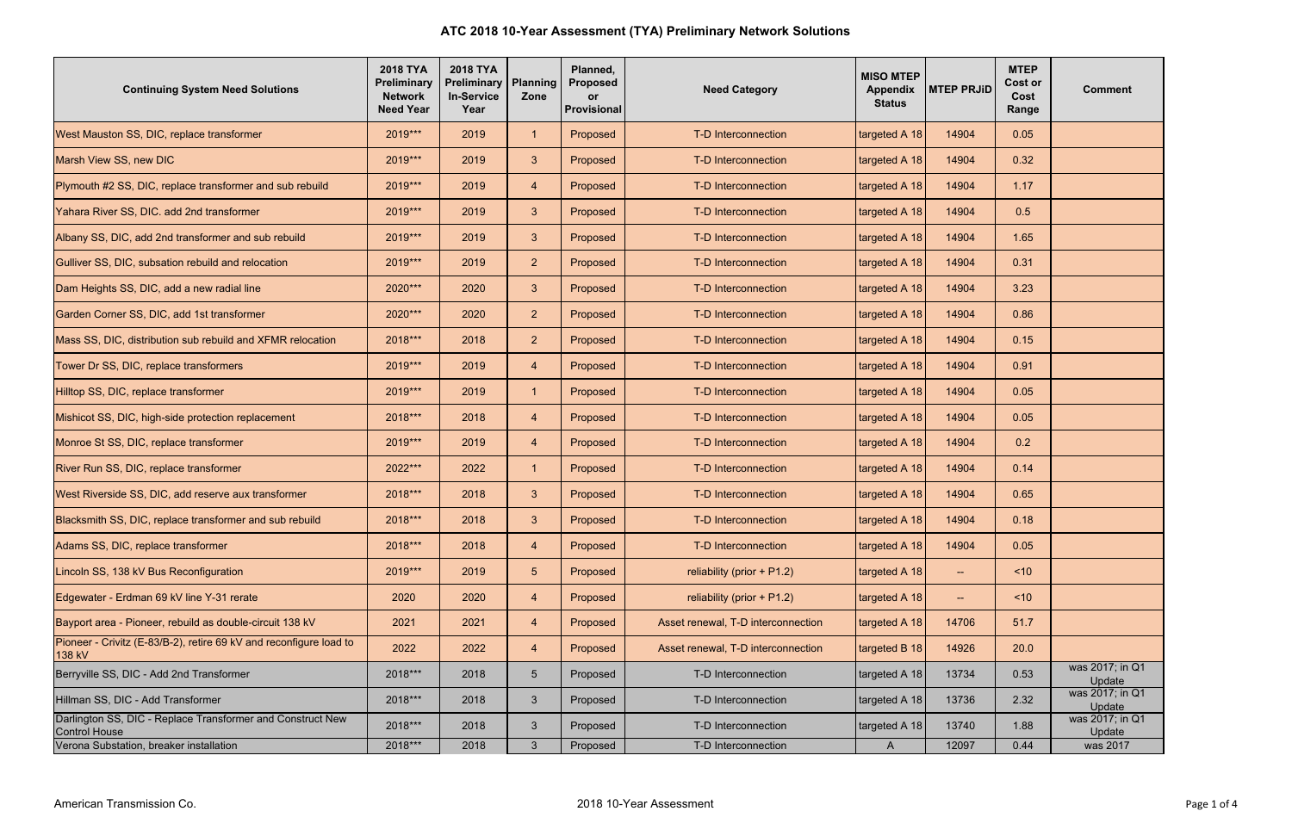| <b>Continuing System Need Solutions</b>                                            | <b>2018 TYA</b><br>Preliminary<br><b>Network</b><br><b>Need Year</b> | <b>2018 TYA</b><br><b>Preliminary</b><br><b>In-Service</b><br>Year | Planning<br>Zone | Planned,<br><b>Proposed</b><br><b>or</b><br>Provisional | <b>Need Category</b>               | <b>MISO MTEP</b><br><b>Appendix</b><br><b>Status</b> | <b>MTEP PRJID</b> | <b>MTEP</b><br><b>Cost or</b><br>Cost<br>Range | <b>Comment</b>            |
|------------------------------------------------------------------------------------|----------------------------------------------------------------------|--------------------------------------------------------------------|------------------|---------------------------------------------------------|------------------------------------|------------------------------------------------------|-------------------|------------------------------------------------|---------------------------|
| West Mauston SS, DIC, replace transformer                                          | 2019***                                                              | 2019                                                               | -1               | Proposed                                                | T-D Interconnection                | targeted A 18                                        | 14904             | 0.05                                           |                           |
| Marsh View SS, new DIC                                                             | 2019***                                                              | 2019                                                               | 3 <sup>5</sup>   | Proposed                                                | T-D Interconnection                | targeted A 18                                        | 14904             | 0.32                                           |                           |
| Plymouth #2 SS, DIC, replace transformer and sub rebuild                           | 2019***                                                              | 2019                                                               | $\overline{4}$   | Proposed                                                | T-D Interconnection                | targeted A 18                                        | 14904             | 1.17                                           |                           |
| Yahara River SS, DIC. add 2nd transformer                                          | 2019***                                                              | 2019                                                               | 3 <sup>5</sup>   | Proposed                                                | T-D Interconnection                | targeted A 18                                        | 14904             | 0.5                                            |                           |
| Albany SS, DIC, add 2nd transformer and sub rebuild                                | 2019***                                                              | 2019                                                               | 3 <sup>5</sup>   | Proposed                                                | T-D Interconnection                | targeted A 18                                        | 14904             | 1.65                                           |                           |
| Gulliver SS, DIC, subsation rebuild and relocation                                 | 2019***                                                              | 2019                                                               | 2 <sup>2</sup>   | Proposed                                                | T-D Interconnection                | targeted A 18                                        | 14904             | 0.31                                           |                           |
| Dam Heights SS, DIC, add a new radial line                                         | 2020***                                                              | 2020                                                               | 3 <sup>5</sup>   | Proposed                                                | T-D Interconnection                | targeted A 18                                        | 14904             | 3.23                                           |                           |
| Garden Corner SS, DIC, add 1st transformer                                         | 2020***                                                              | 2020                                                               | 2 <sup>2</sup>   | Proposed                                                | T-D Interconnection                | targeted A 18                                        | 14904             | 0.86                                           |                           |
| Mass SS, DIC, distribution sub rebuild and XFMR relocation                         | 2018***                                                              | 2018                                                               | 2 <sup>2</sup>   | Proposed                                                | <b>T-D Interconnection</b>         | targeted A 18                                        | 14904             | 0.15                                           |                           |
| Tower Dr SS, DIC, replace transformers                                             | 2019***                                                              | 2019                                                               | $\overline{4}$   | Proposed                                                | T-D Interconnection                | targeted A 18                                        | 14904             | 0.91                                           |                           |
| Hilltop SS, DIC, replace transformer                                               | 2019***                                                              | 2019                                                               | -1               | Proposed                                                | <b>T-D Interconnection</b>         | targeted A 18                                        | 14904             | 0.05                                           |                           |
| Mishicot SS, DIC, high-side protection replacement                                 | 2018***                                                              | 2018                                                               | $\overline{4}$   | Proposed                                                | T-D Interconnection                | targeted A 18                                        | 14904             | 0.05                                           |                           |
| Monroe St SS, DIC, replace transformer                                             | 2019***                                                              | 2019                                                               | $\overline{4}$   | Proposed                                                | T-D Interconnection                | targeted A 18                                        | 14904             | 0.2                                            |                           |
| River Run SS, DIC, replace transformer                                             | 2022***                                                              | 2022                                                               | -1               | Proposed                                                | T-D Interconnection                | targeted A 18                                        | 14904             | 0.14                                           |                           |
| West Riverside SS, DIC, add reserve aux transformer                                | 2018***                                                              | 2018                                                               | $\mathbf{3}$     | Proposed                                                | T-D Interconnection                | targeted A 18                                        | 14904             | 0.65                                           |                           |
| Blacksmith SS, DIC, replace transformer and sub rebuild                            | 2018***                                                              | 2018                                                               | 3 <sup>5</sup>   | Proposed                                                | T-D Interconnection                | targeted A 18                                        | 14904             | 0.18                                           |                           |
| Adams SS, DIC, replace transformer                                                 | 2018***                                                              | 2018                                                               | $\overline{4}$   | Proposed                                                | T-D Interconnection                | targeted A 18                                        | 14904             | 0.05                                           |                           |
| Lincoln SS, 138 kV Bus Reconfiguration                                             | 2019***                                                              | 2019                                                               | 5 <sub>5</sub>   | Proposed                                                | reliability (prior + P1.2)         | targeted A 18                                        | $\rightarrow$     | ~10                                            |                           |
| Edgewater - Erdman 69 kV line Y-31 rerate                                          | 2020                                                                 | 2020                                                               | $\overline{4}$   | Proposed                                                | reliability (prior $+$ P1.2)       | targeted A 18                                        | $\rightarrow$     | ~10                                            |                           |
| Bayport area - Pioneer, rebuild as double-circuit 138 kV                           | 2021                                                                 | 2021                                                               | $\overline{4}$   | Proposed                                                | Asset renewal, T-D interconnection | targeted A 18                                        | 14706             | 51.7                                           |                           |
| Pioneer - Crivitz (E-83/B-2), retire 69 kV and reconfigure load to<br>138 kV       | 2022                                                                 | 2022                                                               | $\overline{4}$   | Proposed                                                | Asset renewal, T-D interconnection | targeted B 18                                        | 14926             | 20.0                                           |                           |
| Berryville SS, DIC - Add 2nd Transformer                                           | 2018***                                                              | 2018                                                               | $5\overline{)}$  | Proposed                                                | T-D Interconnection                | targeted A 18                                        | 13734             | 0.53                                           | was 2017; in Q1<br>Update |
| Hillman SS, DIC - Add Transformer                                                  | 2018***                                                              | 2018                                                               | 3 <sup>5</sup>   | Proposed                                                | T-D Interconnection                | targeted A 18                                        | 13736             | 2.32                                           | was 2017; in Q1<br>Update |
| Darlington SS, DIC - Replace Transformer and Construct New<br><b>Control House</b> | 2018***                                                              | 2018                                                               | $\mathbf{3}$     | Proposed                                                | T-D Interconnection                | targeted A 18                                        | 13740             | 1.88                                           | was 2017; in Q1<br>Update |
| Verona Substation, breaker installation                                            | 2018***                                                              | 2018                                                               | $\mathbf{3}$     | Proposed                                                | T-D Interconnection                | A                                                    | 12097             | 0.44                                           | was 2017                  |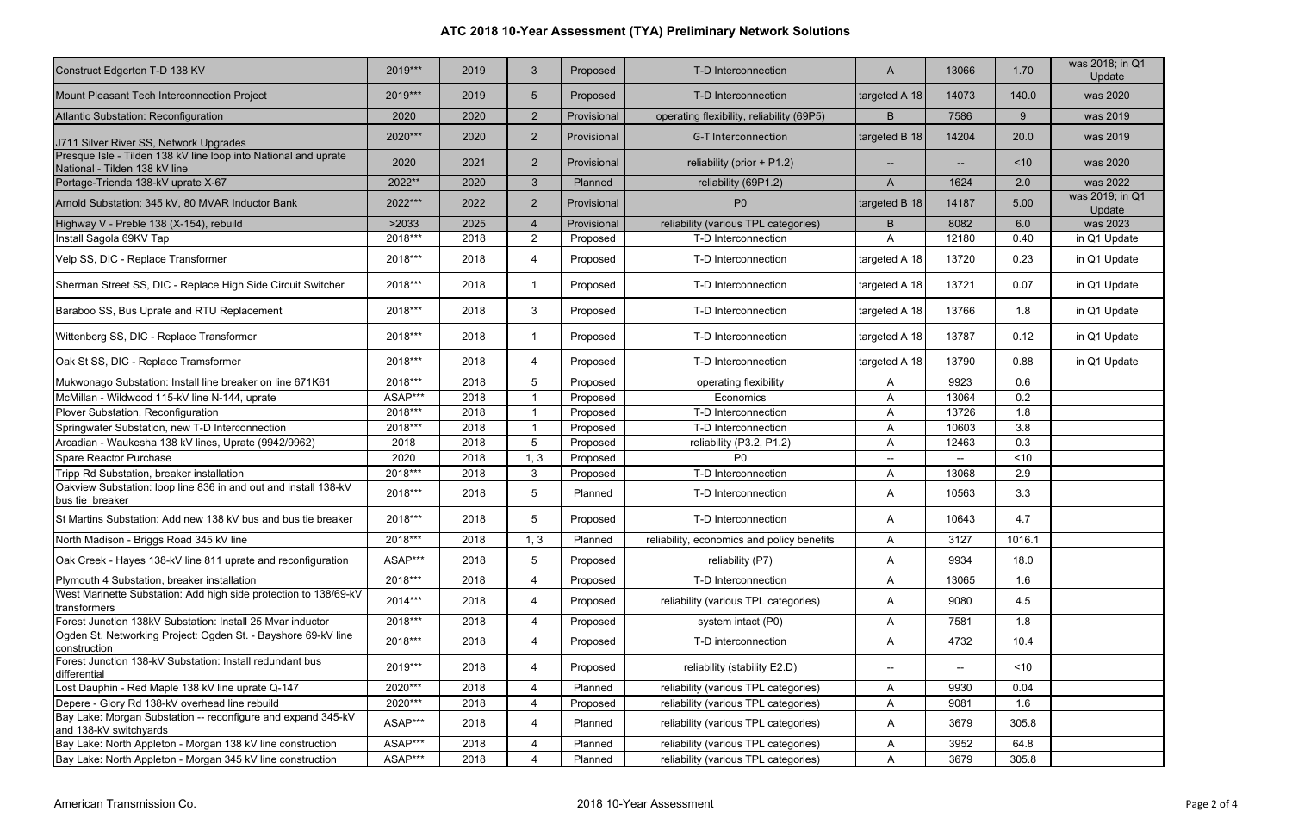| Construct Edgerton T-D 138 KV                                                                    | 2019*** | 2019 | $\mathbf{3}$    | Proposed    | T-D Interconnection                        | A                        | 13066                    | 1.70        | was 2018; in Q1<br>Update |
|--------------------------------------------------------------------------------------------------|---------|------|-----------------|-------------|--------------------------------------------|--------------------------|--------------------------|-------------|---------------------------|
| Mount Pleasant Tech Interconnection Project                                                      | 2019*** | 2019 | $5\phantom{.0}$ | Proposed    | T-D Interconnection                        | targeted A 18            | 14073                    | 140.0       | was 2020                  |
| Atlantic Substation: Reconfiguration                                                             | 2020    | 2020 | $\overline{2}$  | Provisional | operating flexibility, reliability (69P5)  | B                        | 7586                     | $9^{\circ}$ | was 2019                  |
| J711 Silver River SS, Network Upgrades                                                           | 2020*** | 2020 | $\overline{2}$  | Provisional | G-T Interconnection                        | targeted B 18            | 14204                    | 20.0        | was 2019                  |
| Presque Isle - Tilden 138 kV line loop into National and uprate<br>National - Tilden 138 kV line | 2020    | 2021 | 2               | Provisional | reliability (prior $+$ P1.2)               | $\qquad \qquad -$        | $\overline{\phantom{a}}$ | ~10         | was 2020                  |
| Portage-Trienda 138-kV uprate X-67                                                               | 2022**  | 2020 | $\mathbf{3}$    | Planned     | reliability (69P1.2)                       | A                        | 1624                     | 2.0         | was 2022                  |
| Arnold Substation: 345 kV, 80 MVAR Inductor Bank                                                 | 2022*** | 2022 | $\overline{2}$  | Provisional | P <sub>0</sub>                             | targeted B 18            | 14187                    | 5.00        | was 2019; in Q1<br>Update |
| Highway V - Preble 138 (X-154), rebuild                                                          | >2033   | 2025 | $\overline{4}$  | Provisional | reliability (various TPL categories)       | B                        | 8082                     | 6.0         | was 2023                  |
| Install Sagola 69KV Tap                                                                          | 2018*** | 2018 | $\overline{2}$  | Proposed    | T-D Interconnection                        | A                        | 12180                    | 0.40        | in Q1 Update              |
| Velp SS, DIC - Replace Transformer                                                               | 2018*** | 2018 | $\overline{4}$  | Proposed    | T-D Interconnection                        | targeted A 18            | 13720                    | 0.23        | in Q1 Update              |
| Sherman Street SS, DIC - Replace High Side Circuit Switcher                                      | 2018*** | 2018 | -1              | Proposed    | T-D Interconnection                        | targeted A 18            | 13721                    | 0.07        | in Q1 Update              |
| Baraboo SS, Bus Uprate and RTU Replacement                                                       | 2018*** | 2018 | 3               | Proposed    | T-D Interconnection                        | targeted A 18            | 13766                    | 1.8         | in Q1 Update              |
| Wittenberg SS, DIC - Replace Transformer                                                         | 2018*** | 2018 | -1              | Proposed    | T-D Interconnection                        | targeted A 18            | 13787                    | 0.12        | in Q1 Update              |
| Oak St SS, DIC - Replace Tramsformer                                                             | 2018*** | 2018 | 4               | Proposed    | T-D Interconnection                        | targeted A 18            | 13790                    | 0.88        | in Q1 Update              |
| Mukwonago Substation: Install line breaker on line 671K61                                        | 2018*** | 2018 | 5               | Proposed    | operating flexibility                      | Α                        | 9923                     | 0.6         |                           |
| McMillan - Wildwood 115-kV line N-144, uprate                                                    | ASAP*** | 2018 |                 | Proposed    | Economics                                  | Α                        | 13064                    | 0.2         |                           |
| Plover Substation, Reconfiguration                                                               | 2018*** | 2018 |                 | Proposed    | T-D Interconnection                        | Α                        | 13726                    | 1.8         |                           |
| Springwater Substation, new T-D Interconnection                                                  | 2018*** | 2018 |                 | Proposed    | T-D Interconnection                        | A                        | 10603                    | 3.8         |                           |
| Arcadian - Waukesha 138 kV lines, Uprate (9942/9962)                                             | 2018    | 2018 | $\sqrt{5}$      | Proposed    | reliability (P3.2, P1.2)                   | Α                        | 12463                    | 0.3         |                           |
| Spare Reactor Purchase                                                                           | 2020    | 2018 | 1, 3            | Proposed    | P <sub>0</sub>                             | $\overline{\phantom{a}}$ | $- -$                    | < 10        |                           |
| Tripp Rd Substation, breaker installation                                                        | 2018*** | 2018 | 3               | Proposed    | T-D Interconnection                        | Α                        | 13068                    | 2.9         |                           |
| Oakview Substation: loop line 836 in and out and install 138-kV<br>bus tie breaker               | 2018*** | 2018 | $\sqrt{5}$      | Planned     | T-D Interconnection                        | A                        | 10563                    | 3.3         |                           |
| St Martins Substation: Add new 138 kV bus and bus tie breaker                                    | 2018*** | 2018 | $5\phantom{.0}$ | Proposed    | T-D Interconnection                        | Α                        | 10643                    | 4.7         |                           |
| North Madison - Briggs Road 345 kV line                                                          | 2018*** | 2018 | 1, 3            | Planned     | reliability, economics and policy benefits | Α                        | 3127                     | 1016.1      |                           |
| Oak Creek - Hayes 138-kV line 811 uprate and reconfiguration                                     | ASAP*** | 2018 | 5               | Proposed    | reliability (P7)                           | A                        | 9934                     | 18.0        |                           |
| Plymouth 4 Substation, breaker installation                                                      | 2018*** | 2018 | 4               | Proposed    | T-D Interconnection                        | Α                        | 13065                    | 1.6         |                           |
| West Marinette Substation: Add high side protection to 138/69-kV<br>transformers                 | 2014*** | 2018 | 4               | Proposed    | reliability (various TPL categories)       | A                        | 9080                     | 4.5         |                           |
| Forest Junction 138kV Substation: Install 25 Mvar inductor                                       | 2018*** | 2018 | $\overline{4}$  | Proposed    | system intact (P0)                         | Α                        | 7581                     | 1.8         |                           |
| Ogden St. Networking Project: Ogden St. - Bayshore 69-kV line<br>construction                    | 2018*** | 2018 | 4               | Proposed    | T-D interconnection                        | A                        | 4732                     | 10.4        |                           |
| Forest Junction 138-kV Substation: Install redundant bus<br>differential                         | 2019*** | 2018 | 4               | Proposed    | reliability (stability E2.D)               | $\overline{\phantom{m}}$ | --                       | ~10         |                           |
| Lost Dauphin - Red Maple 138 kV line uprate Q-147                                                | 2020*** | 2018 | $\overline{4}$  | Planned     | reliability (various TPL categories)       | Α                        | 9930                     | 0.04        |                           |
| Depere - Glory Rd 138-kV overhead line rebuild                                                   | 2020*** | 2018 | $\overline{4}$  | Proposed    | reliability (various TPL categories)       | Α                        | 9081                     | 1.6         |                           |
| Bay Lake: Morgan Substation -- reconfigure and expand 345-kV<br>and 138-kV switchyards           | ASAP*** | 2018 | 4               | Planned     | reliability (various TPL categories)       | A                        | 3679                     | 305.8       |                           |
| Bay Lake: North Appleton - Morgan 138 kV line construction                                       | ASAP*** | 2018 | $\overline{4}$  | Planned     | reliability (various TPL categories)       | A                        | 3952                     | 64.8        |                           |
| Bay Lake: North Appleton - Morgan 345 kV line construction                                       | ASAP*** | 2018 | 4               | Planned     | reliability (various TPL categories)       | A                        | 3679                     | 305.8       |                           |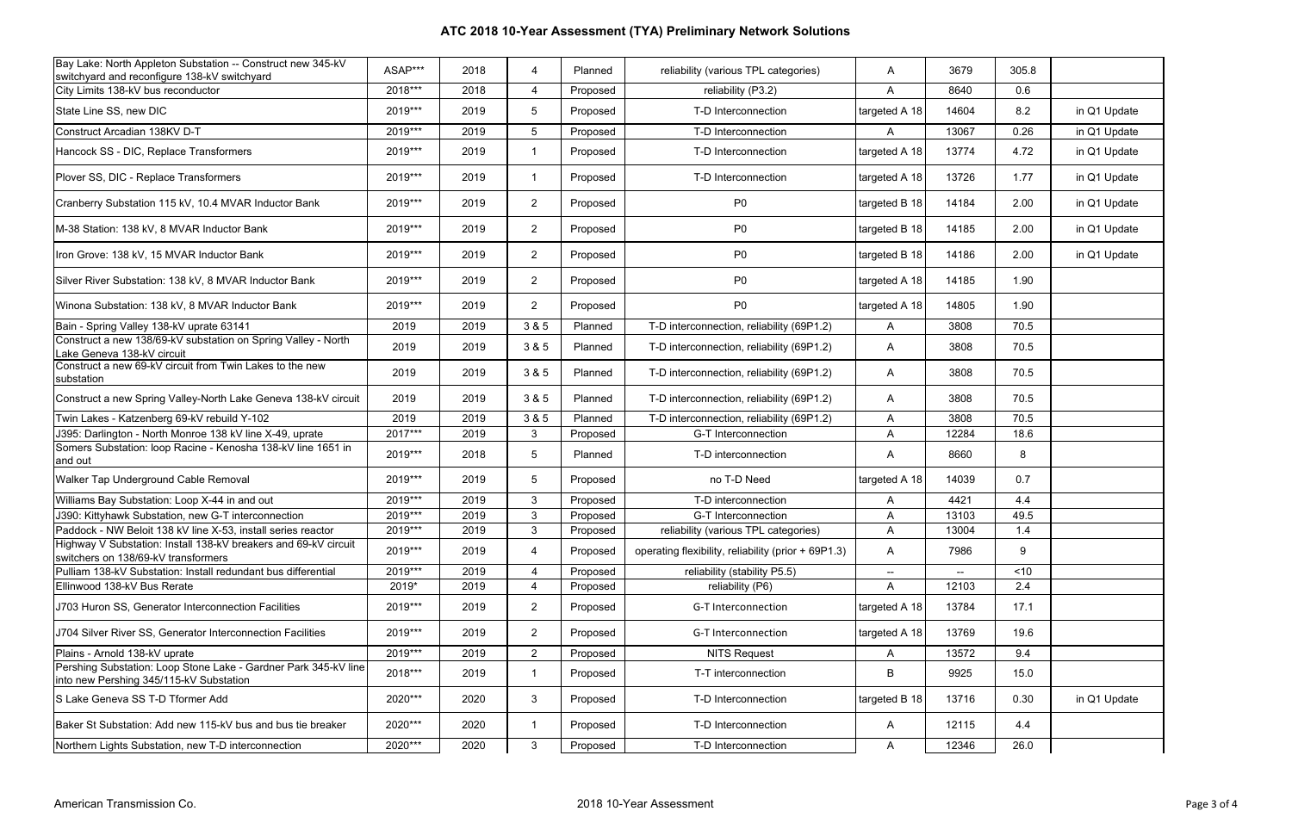| Bay Lake: North Appleton Substation -- Construct new 345-kV<br>switchyard and reconfigure 138-kV switchyard | ASAP*** | 2018 | $\overline{4}$  | Planned  | reliability (various TPL categories)                | A                        | 3679  | 305.8 |              |
|-------------------------------------------------------------------------------------------------------------|---------|------|-----------------|----------|-----------------------------------------------------|--------------------------|-------|-------|--------------|
| City Limits 138-kV bus reconductor                                                                          | 2018*** | 2018 | 4               | Proposed | reliability (P3.2)                                  | A                        | 8640  | 0.6   |              |
| State Line SS, new DIC                                                                                      | 2019*** | 2019 | 5               | Proposed | T-D Interconnection                                 | targeted A 18            | 14604 | 8.2   | in Q1 Update |
| Construct Arcadian 138KV D-T                                                                                | 2019*** | 2019 | 5               | Proposed | T-D Interconnection                                 | A                        | 13067 | 0.26  | in Q1 Update |
| Hancock SS - DIC, Replace Transformers                                                                      | 2019*** | 2019 | -1              | Proposed | T-D Interconnection                                 | targeted A 18            | 13774 | 4.72  | in Q1 Update |
| Plover SS, DIC - Replace Transformers                                                                       | 2019*** | 2019 | -1              | Proposed | T-D Interconnection                                 | targeted A 18            | 13726 | 1.77  | in Q1 Update |
| Cranberry Substation 115 kV, 10.4 MVAR Inductor Bank                                                        | 2019*** | 2019 | $\overline{2}$  | Proposed | P <sub>0</sub>                                      | targeted B 18            | 14184 | 2.00  | in Q1 Update |
| M-38 Station: 138 kV, 8 MVAR Inductor Bank                                                                  | 2019*** | 2019 | $\overline{2}$  | Proposed | P <sub>0</sub>                                      | targeted B 18            | 14185 | 2.00  | in Q1 Update |
| Iron Grove: 138 kV, 15 MVAR Inductor Bank                                                                   | 2019*** | 2019 | $\overline{2}$  | Proposed | P <sub>0</sub>                                      | targeted B 18            | 14186 | 2.00  | in Q1 Update |
| Silver River Substation: 138 kV, 8 MVAR Inductor Bank                                                       | 2019*** | 2019 | $\overline{2}$  | Proposed | P <sub>0</sub>                                      | targeted A 18            | 14185 | 1.90  |              |
| Winona Substation: 138 kV, 8 MVAR Inductor Bank                                                             | 2019*** | 2019 | $\overline{2}$  | Proposed | P <sub>0</sub>                                      | targeted A 18            | 14805 | 1.90  |              |
| Bain - Spring Valley 138-kV uprate 63141                                                                    | 2019    | 2019 | 3 & 5           | Planned  | T-D interconnection, reliability (69P1.2)           | A                        | 3808  | 70.5  |              |
| Construct a new 138/69-kV substation on Spring Valley - North<br>Lake Geneva 138-kV circuit                 | 2019    | 2019 | 3 & 5           | Planned  | T-D interconnection, reliability (69P1.2)           | A                        | 3808  | 70.5  |              |
| Construct a new 69-kV circuit from Twin Lakes to the new<br>substation                                      | 2019    | 2019 | 3 & 5           | Planned  | T-D interconnection, reliability (69P1.2)           | A                        | 3808  | 70.5  |              |
| Construct a new Spring Valley-North Lake Geneva 138-kV circuit                                              | 2019    | 2019 | 3 & 5           | Planned  | T-D interconnection, reliability (69P1.2)           | Α                        | 3808  | 70.5  |              |
| Twin Lakes - Katzenberg 69-kV rebuild Y-102                                                                 | 2019    | 2019 | 3 & 5           | Planned  | T-D interconnection, reliability (69P1.2)           | A                        | 3808  | 70.5  |              |
| J395: Darlington - North Monroe 138 kV line X-49, uprate                                                    | 2017*** | 2019 | 3               | Proposed | G-T Interconnection                                 | A                        | 12284 | 18.6  |              |
| Somers Substation: loop Racine - Kenosha 138-kV line 1651 in<br>and out                                     | 2019*** | 2018 | $5\overline{)}$ | Planned  | T-D interconnection                                 | A                        | 8660  | 8     |              |
| Walker Tap Underground Cable Removal                                                                        | 2019*** | 2019 | $5\overline{)}$ | Proposed | no T-D Need                                         | targeted A 18            | 14039 | 0.7   |              |
| Williams Bay Substation: Loop X-44 in and out                                                               | 2019*** | 2019 | $\mathbf{3}$    | Proposed | T-D interconnection                                 | Α                        | 4421  | 4.4   |              |
| J390: Kittyhawk Substation, new G-T interconnection                                                         | 2019*** | 2019 | $\sqrt{3}$      | Proposed | G-T Interconnection                                 | Α                        | 13103 | 49.5  |              |
| Paddock - NW Beloit 138 kV line X-53, install series reactor                                                | 2019*** | 2019 | $\mathfrak{S}$  | Proposed | reliability (various TPL categories)                | A                        | 13004 | 1.4   |              |
| Highway V Substation: Install 138-kV breakers and 69-kV circuit<br>switchers on 138/69-kV transformers      | 2019*** | 2019 | 4               | Proposed | operating flexibility, reliability (prior + 69P1.3) | A                        | 7986  | 9     |              |
| Pulliam 138-kV Substation: Install redundant bus differential                                               | 2019*** | 2019 | 4               | Proposed | reliability (stability P5.5)                        | $\overline{\phantom{a}}$ | --    | ~10   |              |
| Ellinwood 138-kV Bus Rerate                                                                                 | 2019*   | 2019 | 4               | Proposed | reliability (P6)                                    | A                        | 12103 | 2.4   |              |
| J703 Huron SS, Generator Interconnection Facilities                                                         | 2019*** | 2019 | $\overline{2}$  | Proposed | G-T Interconnection                                 | targeted A 18            | 13784 | 17.1  |              |
| J704 Silver River SS, Generator Interconnection Facilities                                                  | 2019*** | 2019 | $\overline{2}$  | Proposed | G-T Interconnection                                 | targeted A 18            | 13769 | 19.6  |              |
| Plains - Arnold 138-kV uprate                                                                               | 2019*** | 2019 | $\overline{2}$  | Proposed | <b>NITS Request</b>                                 | A                        | 13572 | 9.4   |              |
| Pershing Substation: Loop Stone Lake - Gardner Park 345-kV line<br>into new Pershing 345/115-kV Substation  | 2018*** | 2019 | -1              | Proposed | T-T interconnection                                 | B                        | 9925  | 15.0  |              |
| S Lake Geneva SS T-D Tformer Add                                                                            | 2020*** | 2020 | $\mathbf{3}$    | Proposed | T-D Interconnection                                 | targeted B 18            | 13716 | 0.30  | in Q1 Update |
| Baker St Substation: Add new 115-kV bus and bus tie breaker                                                 | 2020*** | 2020 |                 | Proposed | T-D Interconnection                                 | A                        | 12115 | 4.4   |              |
| Northern Lights Substation, new T-D interconnection                                                         | 2020*** | 2020 | $\mathbf{3}$    | Proposed | T-D Interconnection                                 | A                        | 12346 | 26.0  |              |